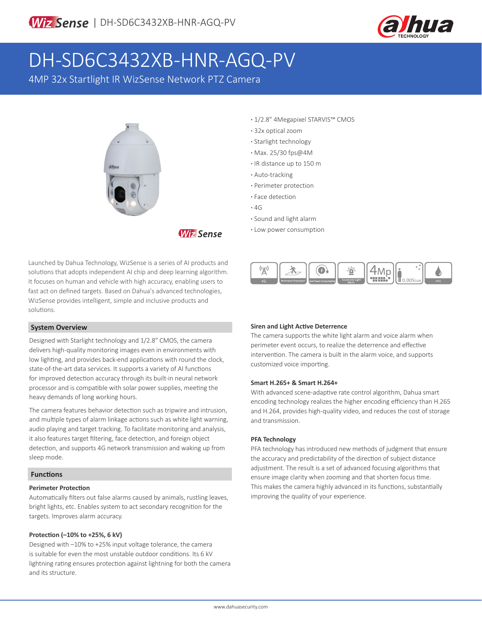

# DH-SD6C3432XB-HNR-AGQ-PV

4MP 32x Startlight IR WizSense Network PTZ Camera



**Wiz Sense** 

Launched by Dahua Technology, WizSense is a series of AI products and solutions that adopts independent AI chip and deep learning algorithm. It focuses on human and vehicle with high accuracy, enabling users to fast act on defined targets. Based on Dahua's advanced technologies, WizSense provides intelligent, simple and inclusive products and solutions.

### **System Overview**

Designed with Starlight technology and 1/2.8" CMOS, the camera delivers high-quality monitoring images even in environments with low lighting, and provides back-end applications with round the clock, state-of-the-art data services. It supports a variety of AI functions for improved detection accuracy through its built-in neural network processor and is compatible with solar power supplies, meeting the heavy demands of long working hours.

The camera features behavior detection such as tripwire and intrusion, and multiple types of alarm linkage actions such as white light warning, audio playing and target tracking. To facilitate monitoring and analysis, it also features target filtering, face detection, and foreign object detection, and supports 4G network transmission and waking up from sleep mode.

### **Functions**

### **Perimeter Protection**

Automatically filters out false alarms caused by animals, rustling leaves, bright lights, etc. Enables system to act secondary recognition for the targets. Improves alarm accuracy.

### **Protection (–10% to +25%, 6 kV)**

Designed with –10% to +25% input voltage tolerance, the camera is suitable for even the most unstable outdoor conditions. Its 6 kV lightning rating ensures protection against lightning for both the camera and its structure.

- **·** 1/2.8" 4Megapixel STARVIS™ CMOS
- **·** 32x optical zoom
- **·** Starlight technology
- **·** Max. 25/30 fps@4M
- **·** IR distance up to 150 m
- **·** Auto-tracking
- **·** Perimeter protection
- **·** Face detection
- **·** 4G
- **·** Sound and light alarm
- **·** Low power consumption



### **Siren and Light Active Deterrence**

The camera supports the white light alarm and voice alarm when perimeter event occurs, to realize the deterrence and effective intervention. The camera is built in the alarm voice, and supports customized voice importing.

### **Smart H.265+ & Smart H.264+**

With advanced scene-adaptive rate control algorithm, Dahua smart encoding technology realizes the higher encoding efficiency than H.265 and H.264, provides high-quality video, and reduces the cost of storage and transmission.

### **PFA Technology**

PFA technology has introduced new methods of judgment that ensure the accuracy and predictability of the direction of subject distance adjustment. The result is a set of advanced focusing algorithms that ensure image clarity when zooming and that shorten focus time. This makes the camera highly advanced in its functions, substantially improving the quality of your experience.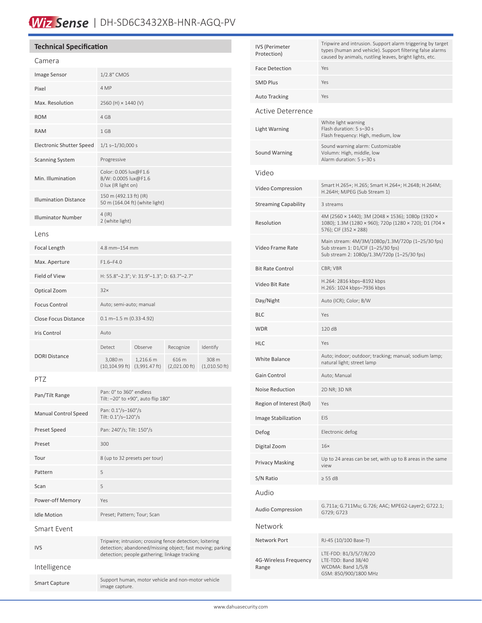## Wiz Sense | DH-SD6C3432XB-HNR-AGQ-PV

| <b>Technical Specification</b>  |                               |                                                                      |                                  |                                  |  |
|---------------------------------|-------------------------------|----------------------------------------------------------------------|----------------------------------|----------------------------------|--|
| Camera                          |                               |                                                                      |                                  |                                  |  |
| <b>Image Sensor</b>             | 1/2.8" CMOS                   |                                                                      |                                  |                                  |  |
| Pixel                           | 4 MP                          |                                                                      |                                  |                                  |  |
| Max. Resolution                 |                               | 2560 (H) × 1440 (V)                                                  |                                  |                                  |  |
| <b>ROM</b>                      | 4 GB                          |                                                                      |                                  |                                  |  |
| <b>RAM</b>                      | 1 GB                          |                                                                      |                                  |                                  |  |
| <b>Electronic Shutter Speed</b> |                               | $1/1$ s-1/30,000 s                                                   |                                  |                                  |  |
| <b>Scanning System</b>          | Progressive                   |                                                                      |                                  |                                  |  |
| Min. Illumination               |                               | Color: 0.005 lux@F1.6<br>B/W: 0.0005 lux@F1.6<br>0 lux (IR light on) |                                  |                                  |  |
| <b>Illumination Distance</b>    |                               | 150 m (492.13 ft) (IR)<br>50 m (164.04 ft) (white light)             |                                  |                                  |  |
| <b>Illuminator Number</b>       | $4$ (IR)<br>2 (white light)   |                                                                      |                                  |                                  |  |
| Lens                            |                               |                                                                      |                                  |                                  |  |
| Focal Length                    |                               | 4.8 mm-154 mm                                                        |                                  |                                  |  |
| Max. Aperture                   | $F1.6 - F4.0$                 |                                                                      |                                  |                                  |  |
| Field of View                   |                               | H: 55.8°-2.3°; V: 31.9°-1.3°; D: 63.7°-2.7°                          |                                  |                                  |  |
| Optical Zoom                    | 32x                           |                                                                      |                                  |                                  |  |
| <b>Focus Control</b>            |                               | Auto; semi-auto; manual                                              |                                  |                                  |  |
| <b>Close Focus Distance</b>     | $0.1 m - 1.5 m (0.33 - 4.92)$ |                                                                      |                                  |                                  |  |
| Iris Control                    | Auto                          |                                                                      |                                  |                                  |  |
| <b>DORI Distance</b>            | Detect                        | Observe                                                              | Recognize                        | Identify                         |  |
|                                 | 3,080 m<br>$(10, 104.99)$ ft) | 1,216.6 m<br>$(3,991.47 \text{ ft})$                                 | 616 m<br>$(2,021.00 \text{ ft})$ | 308 m<br>$(1,010.50 \text{ ft})$ |  |
| DT7                             |                               |                                                                      |                                  |                                  |  |

### PTZ

| Pan/Tilt Range              | Pan: 0° to 360° endless<br>Tilt: -20° to +90°, auto flip 180°                                                                                                          |
|-----------------------------|------------------------------------------------------------------------------------------------------------------------------------------------------------------------|
| <b>Manual Control Speed</b> | Pan: 0.1°/s-160°/s<br>Tilt: 0.1°/s-120°/s                                                                                                                              |
| Preset Speed                | Pan: 240°/s; Tilt: 150°/s                                                                                                                                              |
| Preset                      | 300                                                                                                                                                                    |
| Tour                        | 8 (up to 32 presets per tour)                                                                                                                                          |
| Pattern                     | 5                                                                                                                                                                      |
| Scan                        | 5                                                                                                                                                                      |
| Power-off Memory            | Yes                                                                                                                                                                    |
| <b>Idle Motion</b>          | Preset; Pattern; Tour; Scan                                                                                                                                            |
| Smart Fyent                 |                                                                                                                                                                        |
| <b>IVS</b>                  | Tripwire; intrusion; crossing fence detection; loitering<br>detection; abandoned/missing object; fast moving; parking<br>detection; people gathering; linkage tracking |
| Intelligence                |                                                                                                                                                                        |
| <b>Smart Capture</b>        | Support human, motor vehicle and non-motor vehicle<br>image capture.                                                                                                   |

| <b>IVS</b> (Perimeter<br>Protection) | Tripwire and intrusion. Support alarm triggering by target<br>types (human and vehicle). Support filtering false alarms<br>caused by animals, rustling leaves, bright lights, etc. |  |  |  |
|--------------------------------------|------------------------------------------------------------------------------------------------------------------------------------------------------------------------------------|--|--|--|
| <b>Face Detection</b>                | Yes                                                                                                                                                                                |  |  |  |
| <b>SMD Plus</b>                      | Yes                                                                                                                                                                                |  |  |  |
| <b>Auto Tracking</b>                 | Yes                                                                                                                                                                                |  |  |  |
| Active Deterrence                    |                                                                                                                                                                                    |  |  |  |
| <b>Light Warning</b>                 | White light warning<br>Flash duration: 5 s-30 s<br>Flash frequency: High, medium, low                                                                                              |  |  |  |
| <b>Sound Warning</b>                 | Sound warning alarm: Customizable<br>Volumn: High, middle, low<br>Alarm duration: 5 s-30 s                                                                                         |  |  |  |
| Video                                |                                                                                                                                                                                    |  |  |  |
| Video Compression                    | Smart H.265+; H.265; Smart H.264+; H.264B; H.264M;<br>H.264H; MJPEG (Sub Stream 1)                                                                                                 |  |  |  |
| <b>Streaming Capability</b>          | 3 streams                                                                                                                                                                          |  |  |  |
| Resolution                           | 4M (2560 × 1440); 3M (2048 × 1536); 1080p (1920 ×<br>1080); 1.3M (1280 × 960); 720p (1280 × 720); D1 (704 ×<br>576); CIF (352 × 288)                                               |  |  |  |
| Video Frame Rate                     | Main stream: 4M/3M/1080p/1.3M/720p (1-25/30 fps)<br>Sub stream 1: D1/CIF (1-25/30 fps)<br>Sub stream 2: 1080p/1.3M/720p (1-25/30 fps)                                              |  |  |  |
| <b>Bit Rate Control</b>              | CBR; VBR                                                                                                                                                                           |  |  |  |
| Video Bit Rate                       | H.264: 2816 kbps-8192 kbps<br>H.265: 1024 kbps-7936 kbps                                                                                                                           |  |  |  |
| Day/Night                            | Auto (ICR); Color; B/W                                                                                                                                                             |  |  |  |
| <b>BLC</b>                           | Yes                                                                                                                                                                                |  |  |  |
| <b>WDR</b>                           | 120 dB                                                                                                                                                                             |  |  |  |
| <b>HLC</b>                           | Yes                                                                                                                                                                                |  |  |  |
| <b>White Balance</b>                 | Auto; indoor; outdoor; tracking; manual; sodium lamp;<br>natural light; street lamp                                                                                                |  |  |  |
| Gain Control                         | Auto; Manual                                                                                                                                                                       |  |  |  |
| Noise Reduction                      | 2D NR; 3D NR                                                                                                                                                                       |  |  |  |
| Region of Interest (RoI)             | Yes                                                                                                                                                                                |  |  |  |
| Image Stabilization                  | EIS                                                                                                                                                                                |  |  |  |
| Defog                                | Electronic defog                                                                                                                                                                   |  |  |  |
|                                      |                                                                                                                                                                                    |  |  |  |
| Digital Zoom                         | 16 <sub>x</sub>                                                                                                                                                                    |  |  |  |
| <b>Privacy Masking</b>               | Up to 24 areas can be set, with up to 8 areas in the same<br>view                                                                                                                  |  |  |  |
| S/N Ratio                            | $> 55$ dB                                                                                                                                                                          |  |  |  |
| Audio                                |                                                                                                                                                                                    |  |  |  |
| <b>Audio Compression</b>             | G.711a; G.711Mu; G.726; AAC; MPEG2-Layer2; G722.1;<br>G729; G723                                                                                                                   |  |  |  |
| Network                              |                                                                                                                                                                                    |  |  |  |
| Network Port                         | RJ-45 (10/100 Base-T)                                                                                                                                                              |  |  |  |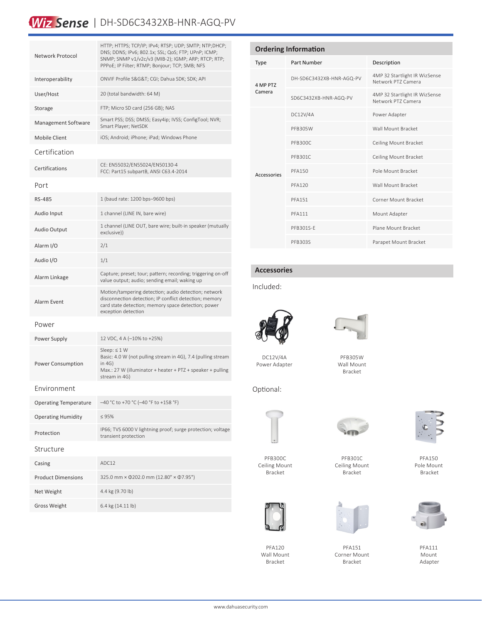### Wiz Sense | DH-SD6C3432XB-HNR-AGQ-PV

| Network Protocol             | HTTP; HTTPS; TCP/IP; IPv4; RTSP; UDP; SMTP; NTP;DHCP;<br>DNS; DDNS; IPv6; 802.1x; SSL; QoS; FTP; UPnP; ICMP;<br>SNMP; SNMP v1/v2c/v3 (MIB-2); IGMP; ARP; RTCP; RTP;<br>PPPoE; IP Filter; RTMP; Bonjour; TCP; SMB; NFS |
|------------------------------|-----------------------------------------------------------------------------------------------------------------------------------------------------------------------------------------------------------------------|
| Interoperability             | ONVIF Profile S&G&T CGI; Dahua SDK; SDK; API                                                                                                                                                                          |
| User/Host                    | 20 (total bandwidth: 64 M)                                                                                                                                                                                            |
| Storage                      | FTP; Micro SD card (256 GB); NAS                                                                                                                                                                                      |
| Management Software          | Smart PSS; DSS; DMSS; Easy4ip; IVSS; ConfigTool; NVR;<br>Smart Player; NetSDK                                                                                                                                         |
| Mobile Client                | iOS; Android; iPhone; iPad; Windows Phone                                                                                                                                                                             |
| Certification                |                                                                                                                                                                                                                       |
| Certifications               | CE: EN55032/EN55024/EN50130-4<br>FCC: Part15 subpartB, ANSI C63.4-2014                                                                                                                                                |
| Port                         |                                                                                                                                                                                                                       |
| RS-485                       | 1 (baud rate: 1200 bps-9600 bps)                                                                                                                                                                                      |
| Audio Input                  | 1 channel (LINE IN, bare wire)                                                                                                                                                                                        |
| <b>Audio Output</b>          | 1 channel (LINE OUT, bare wire; built-in speaker (mutually<br>exclusive))                                                                                                                                             |
| Alarm I/O                    | 2/1                                                                                                                                                                                                                   |
| Audio I/O                    | 1/1                                                                                                                                                                                                                   |
| Alarm Linkage                | Capture; preset; tour; pattern; recording; triggering on-off<br>value output; audio; sending email; waking up                                                                                                         |
| Alarm Event                  | Motion/tampering detection; audio detection; network<br>disconnection detection; IP conflict detection; memory<br>card state detection; memory space detection; power<br>exception detection                          |
| Power                        |                                                                                                                                                                                                                       |
| Power Supply                 | 12 VDC, 4 A (-10% to +25%)                                                                                                                                                                                            |
| <b>Power Consumption</b>     | Sleep: $\leq 1$ W<br>Basic: 4.0 W (not pulling stream in 4G), 7.4 (pulling stream<br>in 4G)<br>Max.: 27 W (illuminator + heater + PTZ + speaker + pulling<br>stream in 4G)                                            |
| Environment                  |                                                                                                                                                                                                                       |
| <b>Operating Temperature</b> | -40 °C to +70 °C (-40 °F to +158 °F)                                                                                                                                                                                  |
| <b>Operating Humidity</b>    | < 95%                                                                                                                                                                                                                 |
| Protection                   | IP66; TVS 6000 V lightning proof; surge protection; voltage<br>transient protection                                                                                                                                   |
| Structure                    |                                                                                                                                                                                                                       |
| Casing                       | ADC12                                                                                                                                                                                                                 |
| <b>Product Dimensions</b>    | 325.0 mm × Ф202.0 mm (12.80" × Ф7.95")                                                                                                                                                                                |
| Net Weight                   | 4.4 kg (9.70 lb)                                                                                                                                                                                                      |
| <b>Gross Weight</b>          | 6.4 kg (14.11 lb)                                                                                                                                                                                                     |

| <b>Ordering Information</b> |                          |                                                     |  |  |  |
|-----------------------------|--------------------------|-----------------------------------------------------|--|--|--|
| Type                        | Part Number              | Description                                         |  |  |  |
| 4 MP PTZ<br>Camera          | DH-SD6C3432XB-HNR-AGQ-PV | 4MP 32 Startlight IR WizSense<br>Network PT7 Camera |  |  |  |
|                             | SD6C3432XB-HNR-AGQ-PV    | 4MP 32 Startlight IR WizSense<br>Network PT7 Camera |  |  |  |
| Accessories                 | DC12V/4A                 | Power Adapter                                       |  |  |  |
|                             | PFB305W                  | Wall Mount Bracket                                  |  |  |  |
|                             | PFB300C                  | Ceiling Mount Bracket                               |  |  |  |
|                             | PFB301C                  | Ceiling Mount Bracket                               |  |  |  |
|                             | <b>PFA150</b>            | Pole Mount Bracket                                  |  |  |  |
|                             | <b>PFA120</b>            | Wall Mount Bracket                                  |  |  |  |
|                             | <b>PFA151</b>            | Corner Mount Bracket                                |  |  |  |
|                             | <b>PFA111</b>            | Mount Adapter                                       |  |  |  |
|                             | PFB301S-F                | Plane Mount Bracket                                 |  |  |  |
|                             | PFB303S                  | Parapet Mount Bracket                               |  |  |  |

### **Accessories**

### Included:



DC12V/4A Power Adapter



PFB305W Wall Mount Bracket

Optional:



PFB300C Ceiling Mount



Bracket

PFA120 Wall Mount Bracket



PFB301C Ceiling Mount Bracket



PFA151 Corner Mount Bracket



PFA150 Pole Mount Bracket



PFA111 Mount Adapter